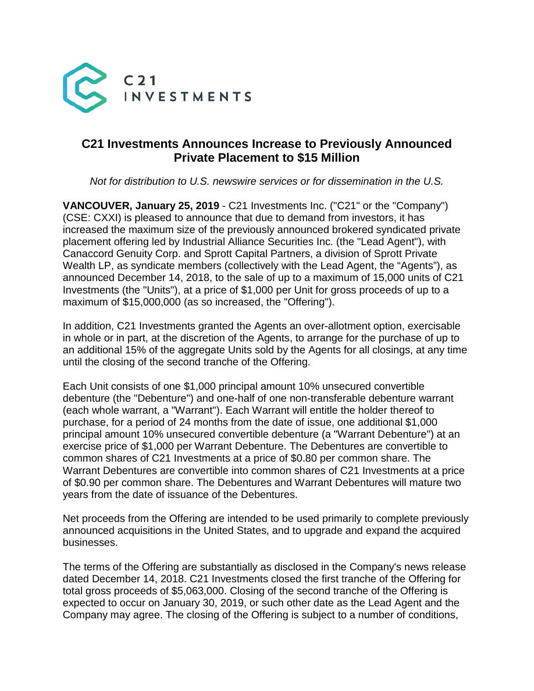

## **C21 Investments Announces Increase to Previously Announced Private Placement to \$15 Million**

*Not for distribution to U.S. newswire services or for dissemination in the U.S.*

**VANCOUVER, January 25, 2019** - C21 Investments Inc. ("C21" or the "Company") (CSE: CXXI) is pleased to announce that due to demand from investors, it has increased the maximum size of the previously announced brokered syndicated private placement offering led by Industrial Alliance Securities Inc. (the "Lead Agent"), with Canaccord Genuity Corp. and Sprott Capital Partners, a division of Sprott Private Wealth LP, as syndicate members (collectively with the Lead Agent, the "Agents"), as announced December 14, 2018, to the sale of up to a maximum of 15,000 units of C21 Investments (the "Units"), at a price of \$1,000 per Unit for gross proceeds of up to a maximum of \$15,000,000 (as so increased, the "Offering").

In addition, C21 Investments granted the Agents an over-allotment option, exercisable in whole or in part, at the discretion of the Agents, to arrange for the purchase of up to an additional 15% of the aggregate Units sold by the Agents for all closings, at any time until the closing of the second tranche of the Offering.

Each Unit consists of one \$1,000 principal amount 10% unsecured convertible debenture (the "Debenture") and one-half of one non-transferable debenture warrant (each whole warrant, a "Warrant"). Each Warrant will entitle the holder thereof to purchase, for a period of 24 months from the date of issue, one additional \$1,000 principal amount 10% unsecured convertible debenture (a "Warrant Debenture") at an exercise price of \$1,000 per Warrant Debenture. The Debentures are convertible to common shares of C21 Investments at a price of \$0.80 per common share. The Warrant Debentures are convertible into common shares of C21 Investments at a price of \$0.90 per common share. The Debentures and Warrant Debentures will mature two years from the date of issuance of the Debentures.

Net proceeds from the Offering are intended to be used primarily to complete previously announced acquisitions in the United States, and to upgrade and expand the acquired businesses.

The terms of the Offering are substantially as disclosed in the Company's news release dated December 14, 2018. C21 Investments closed the first tranche of the Offering for total gross proceeds of \$5,063,000. Closing of the second tranche of the Offering is expected to occur on January 30, 2019, or such other date as the Lead Agent and the Company may agree. The closing of the Offering is subject to a number of conditions,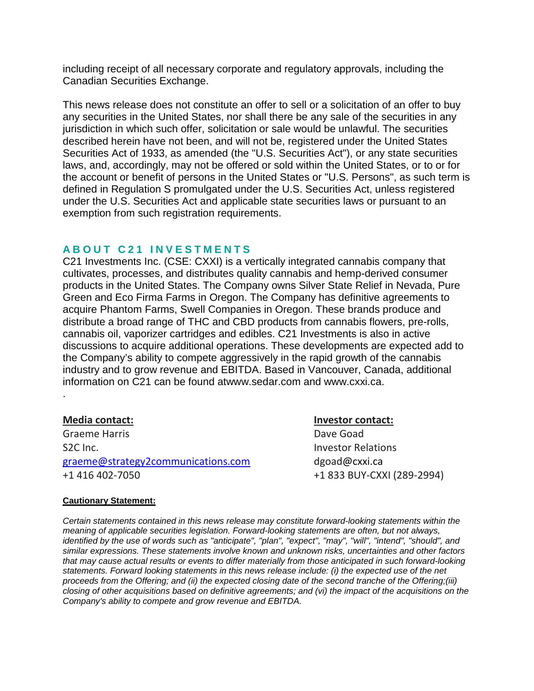including receipt of all necessary corporate and regulatory approvals, including the Canadian Securities Exchange.

This news release does not constitute an offer to sell or a solicitation of an offer to buy any securities in the United States, nor shall there be any sale of the securities in any jurisdiction in which such offer, solicitation or sale would be unlawful. The securities described herein have not been, and will not be, registered under the United States Securities Act of 1933, as amended (the "U.S. Securities Act"), or any state securities laws, and, accordingly, may not be offered or sold within the United States, or to or for the account or benefit of persons in the United States or "U.S. Persons", as such term is defined in Regulation S promulgated under the U.S. Securities Act, unless registered under the U.S. Securities Act and applicable state securities laws or pursuant to an exemption from such registration requirements.

## **ABOUT C21 INVESTMENTS**

C21 Investments Inc. (CSE: CXXI) is a vertically integrated cannabis company that cultivates, processes, and distributes quality cannabis and hemp-derived consumer products in the United States. The Company owns Silver State Relief in Nevada, Pure Green and Eco Firma Farms in Oregon. The Company has definitive agreements to acquire Phantom Farms, Swell Companies in Oregon. These brands produce and distribute a broad range of THC and CBD products from cannabis flowers, pre-rolls, cannabis oil, vaporizer cartridges and edibles. C21 Investments is also in active discussions to acquire additional operations. These developments are expected add to the Company's ability to compete aggressively in the rapid growth of the cannabis industry and to grow revenue and EBITDA. Based in Vancouver, Canada, additional information on C21 can be found atwww.sedar.com and www.cxxi.ca.

.

Graeme Harris **Dave Goad** S2C Inc. **Investor Relations** graeme@strategy2communications.com dgoad@cxxi.ca +1 416 402-7050 +1 833 BUY-CXXI (289-2994)

**Media contact: Investor contact:**

## **Cautionary Statement:**

*Certain statements contained in this news release may constitute forward-looking statements within the meaning of applicable securities legislation. Forward-looking statements are often, but not always, identified by the use of words such as "anticipate", "plan", "expect", "may", "will", "intend", "should", and similar expressions. These statements involve known and unknown risks, uncertainties and other factors that may cause actual results or events to differ materially from those anticipated in such forward-looking statements. Forward looking statements in this news release include: (i) the expected use of the net proceeds from the Offering; and (ii) the expected closing date of the second tranche of the Offering;(iii) closing of other acquisitions based on definitive agreements; and (vi) the impact of the acquisitions on the Company's ability to compete and grow revenue and EBITDA.*